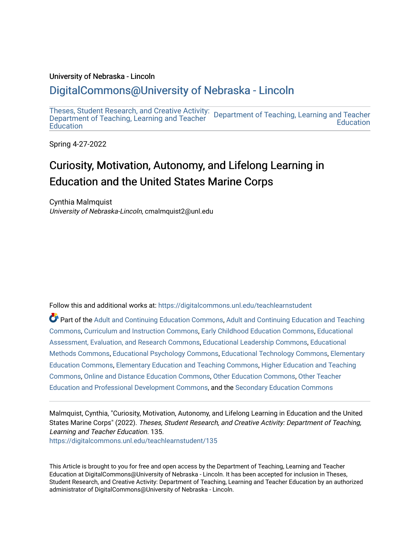#### University of Nebraska - Lincoln

## [DigitalCommons@University of Nebraska - Lincoln](https://digitalcommons.unl.edu/)

[Theses, Student Research, and Creative Activity:](https://digitalcommons.unl.edu/teachlearnstudent)  [Department of Teaching, Learning and Teacher](https://digitalcommons.unl.edu/teaching_learning)  [Department of Teaching, Learning and Teacher](https://digitalcommons.unl.edu/teachlearnstudent) **Education Education** 

Spring 4-27-2022

# Curiosity, Motivation, Autonomy, and Lifelong Learning in Education and the United States Marine Corps

Cynthia Malmquist University of Nebraska-Lincoln, cmalmquist2@unl.edu

Follow this and additional works at: [https://digitalcommons.unl.edu/teachlearnstudent](https://digitalcommons.unl.edu/teachlearnstudent?utm_source=digitalcommons.unl.edu%2Fteachlearnstudent%2F135&utm_medium=PDF&utm_campaign=PDFCoverPages) 

Part of the [Adult and Continuing Education Commons,](http://network.bepress.com/hgg/discipline/1375?utm_source=digitalcommons.unl.edu%2Fteachlearnstudent%2F135&utm_medium=PDF&utm_campaign=PDFCoverPages) [Adult and Continuing Education and Teaching](http://network.bepress.com/hgg/discipline/804?utm_source=digitalcommons.unl.edu%2Fteachlearnstudent%2F135&utm_medium=PDF&utm_campaign=PDFCoverPages)  [Commons](http://network.bepress.com/hgg/discipline/804?utm_source=digitalcommons.unl.edu%2Fteachlearnstudent%2F135&utm_medium=PDF&utm_campaign=PDFCoverPages), [Curriculum and Instruction Commons](http://network.bepress.com/hgg/discipline/786?utm_source=digitalcommons.unl.edu%2Fteachlearnstudent%2F135&utm_medium=PDF&utm_campaign=PDFCoverPages), [Early Childhood Education Commons](http://network.bepress.com/hgg/discipline/1377?utm_source=digitalcommons.unl.edu%2Fteachlearnstudent%2F135&utm_medium=PDF&utm_campaign=PDFCoverPages), [Educational](http://network.bepress.com/hgg/discipline/796?utm_source=digitalcommons.unl.edu%2Fteachlearnstudent%2F135&utm_medium=PDF&utm_campaign=PDFCoverPages)  [Assessment, Evaluation, and Research Commons](http://network.bepress.com/hgg/discipline/796?utm_source=digitalcommons.unl.edu%2Fteachlearnstudent%2F135&utm_medium=PDF&utm_campaign=PDFCoverPages), [Educational Leadership Commons](http://network.bepress.com/hgg/discipline/1230?utm_source=digitalcommons.unl.edu%2Fteachlearnstudent%2F135&utm_medium=PDF&utm_campaign=PDFCoverPages), [Educational](http://network.bepress.com/hgg/discipline/1227?utm_source=digitalcommons.unl.edu%2Fteachlearnstudent%2F135&utm_medium=PDF&utm_campaign=PDFCoverPages)  [Methods Commons,](http://network.bepress.com/hgg/discipline/1227?utm_source=digitalcommons.unl.edu%2Fteachlearnstudent%2F135&utm_medium=PDF&utm_campaign=PDFCoverPages) [Educational Psychology Commons,](http://network.bepress.com/hgg/discipline/798?utm_source=digitalcommons.unl.edu%2Fteachlearnstudent%2F135&utm_medium=PDF&utm_campaign=PDFCoverPages) [Educational Technology Commons,](http://network.bepress.com/hgg/discipline/1415?utm_source=digitalcommons.unl.edu%2Fteachlearnstudent%2F135&utm_medium=PDF&utm_campaign=PDFCoverPages) [Elementary](http://network.bepress.com/hgg/discipline/1378?utm_source=digitalcommons.unl.edu%2Fteachlearnstudent%2F135&utm_medium=PDF&utm_campaign=PDFCoverPages)  [Education Commons,](http://network.bepress.com/hgg/discipline/1378?utm_source=digitalcommons.unl.edu%2Fteachlearnstudent%2F135&utm_medium=PDF&utm_campaign=PDFCoverPages) [Elementary Education and Teaching Commons,](http://network.bepress.com/hgg/discipline/805?utm_source=digitalcommons.unl.edu%2Fteachlearnstudent%2F135&utm_medium=PDF&utm_campaign=PDFCoverPages) [Higher Education and Teaching](http://network.bepress.com/hgg/discipline/806?utm_source=digitalcommons.unl.edu%2Fteachlearnstudent%2F135&utm_medium=PDF&utm_campaign=PDFCoverPages) [Commons](http://network.bepress.com/hgg/discipline/806?utm_source=digitalcommons.unl.edu%2Fteachlearnstudent%2F135&utm_medium=PDF&utm_campaign=PDFCoverPages), [Online and Distance Education Commons](http://network.bepress.com/hgg/discipline/1296?utm_source=digitalcommons.unl.edu%2Fteachlearnstudent%2F135&utm_medium=PDF&utm_campaign=PDFCoverPages), [Other Education Commons,](http://network.bepress.com/hgg/discipline/811?utm_source=digitalcommons.unl.edu%2Fteachlearnstudent%2F135&utm_medium=PDF&utm_campaign=PDFCoverPages) [Other Teacher](http://network.bepress.com/hgg/discipline/810?utm_source=digitalcommons.unl.edu%2Fteachlearnstudent%2F135&utm_medium=PDF&utm_campaign=PDFCoverPages)  [Education and Professional Development Commons](http://network.bepress.com/hgg/discipline/810?utm_source=digitalcommons.unl.edu%2Fteachlearnstudent%2F135&utm_medium=PDF&utm_campaign=PDFCoverPages), and the [Secondary Education Commons](http://network.bepress.com/hgg/discipline/1382?utm_source=digitalcommons.unl.edu%2Fteachlearnstudent%2F135&utm_medium=PDF&utm_campaign=PDFCoverPages) 

Malmquist, Cynthia, "Curiosity, Motivation, Autonomy, and Lifelong Learning in Education and the United States Marine Corps" (2022). Theses, Student Research, and Creative Activity: Department of Teaching, Learning and Teacher Education. 135. [https://digitalcommons.unl.edu/teachlearnstudent/135](https://digitalcommons.unl.edu/teachlearnstudent/135?utm_source=digitalcommons.unl.edu%2Fteachlearnstudent%2F135&utm_medium=PDF&utm_campaign=PDFCoverPages) 

This Article is brought to you for free and open access by the Department of Teaching, Learning and Teacher Education at DigitalCommons@University of Nebraska - Lincoln. It has been accepted for inclusion in Theses, Student Research, and Creative Activity: Department of Teaching, Learning and Teacher Education by an authorized administrator of DigitalCommons@University of Nebraska - Lincoln.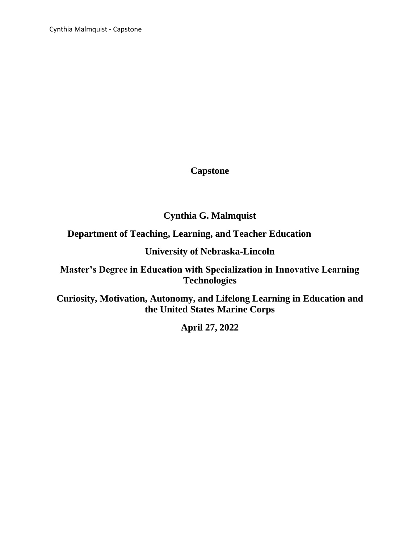Cynthia Malmquist - Capstone

## **Capstone**

**Cynthia G. Malmquist**

**Department of Teaching, Learning, and Teacher Education** 

**University of Nebraska-Lincoln**

**Master's Degree in Education with Specialization in Innovative Learning Technologies**

**Curiosity, Motivation, Autonomy, and Lifelong Learning in Education and the United States Marine Corps**

**April 27, 2022**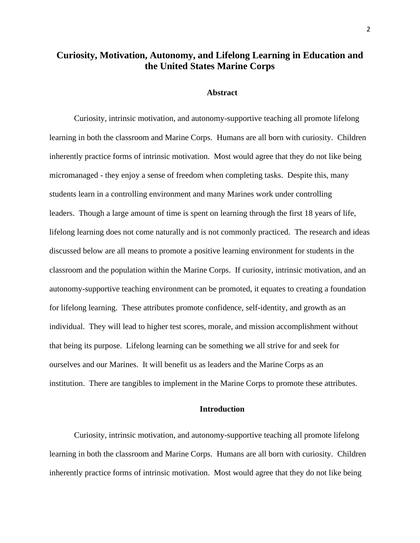### **Curiosity, Motivation, Autonomy, and Lifelong Learning in Education and the United States Marine Corps**

#### **Abstract**

Curiosity, intrinsic motivation, and autonomy-supportive teaching all promote lifelong learning in both the classroom and Marine Corps. Humans are all born with curiosity. Children inherently practice forms of intrinsic motivation. Most would agree that they do not like being micromanaged - they enjoy a sense of freedom when completing tasks. Despite this, many students learn in a controlling environment and many Marines work under controlling leaders. Though a large amount of time is spent on learning through the first 18 years of life, lifelong learning does not come naturally and is not commonly practiced. The research and ideas discussed below are all means to promote a positive learning environment for students in the classroom and the population within the Marine Corps. If curiosity, intrinsic motivation, and an autonomy-supportive teaching environment can be promoted, it equates to creating a foundation for lifelong learning. These attributes promote confidence, self-identity, and growth as an individual. They will lead to higher test scores, morale, and mission accomplishment without that being its purpose. Lifelong learning can be something we all strive for and seek for ourselves and our Marines. It will benefit us as leaders and the Marine Corps as an institution. There are tangibles to implement in the Marine Corps to promote these attributes.

#### **Introduction**

Curiosity, intrinsic motivation, and autonomy-supportive teaching all promote lifelong learning in both the classroom and Marine Corps. Humans are all born with curiosity. Children inherently practice forms of intrinsic motivation. Most would agree that they do not like being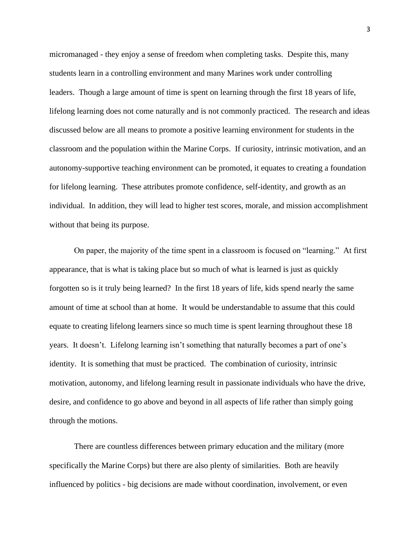micromanaged - they enjoy a sense of freedom when completing tasks. Despite this, many students learn in a controlling environment and many Marines work under controlling leaders. Though a large amount of time is spent on learning through the first 18 years of life, lifelong learning does not come naturally and is not commonly practiced. The research and ideas discussed below are all means to promote a positive learning environment for students in the classroom and the population within the Marine Corps. If curiosity, intrinsic motivation, and an autonomy-supportive teaching environment can be promoted, it equates to creating a foundation for lifelong learning. These attributes promote confidence, self-identity, and growth as an individual. In addition, they will lead to higher test scores, morale, and mission accomplishment without that being its purpose.

On paper, the majority of the time spent in a classroom is focused on "learning." At first appearance, that is what is taking place but so much of what is learned is just as quickly forgotten so is it truly being learned? In the first 18 years of life, kids spend nearly the same amount of time at school than at home. It would be understandable to assume that this could equate to creating lifelong learners since so much time is spent learning throughout these 18 years. It doesn't. Lifelong learning isn't something that naturally becomes a part of one's identity. It is something that must be practiced. The combination of curiosity, intrinsic motivation, autonomy, and lifelong learning result in passionate individuals who have the drive, desire, and confidence to go above and beyond in all aspects of life rather than simply going through the motions.

There are countless differences between primary education and the military (more specifically the Marine Corps) but there are also plenty of similarities. Both are heavily influenced by politics - big decisions are made without coordination, involvement, or even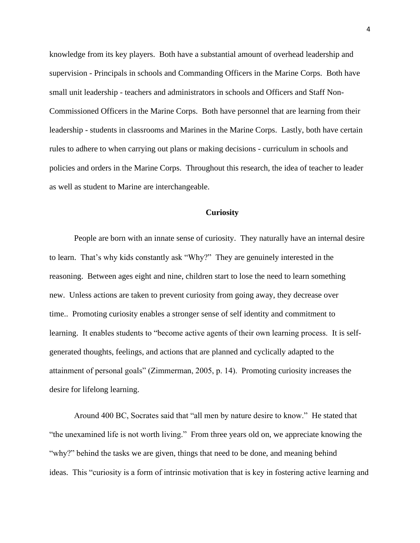knowledge from its key players. Both have a substantial amount of overhead leadership and supervision - Principals in schools and Commanding Officers in the Marine Corps. Both have small unit leadership - teachers and administrators in schools and Officers and Staff Non-Commissioned Officers in the Marine Corps. Both have personnel that are learning from their leadership - students in classrooms and Marines in the Marine Corps. Lastly, both have certain rules to adhere to when carrying out plans or making decisions - curriculum in schools and policies and orders in the Marine Corps. Throughout this research, the idea of teacher to leader as well as student to Marine are interchangeable.

#### **Curiosity**

People are born with an innate sense of curiosity. They naturally have an internal desire to learn. That's why kids constantly ask "Why?" They are genuinely interested in the reasoning. Between ages eight and nine, children start to lose the need to learn something new. Unless actions are taken to prevent curiosity from going away, they decrease over time.. Promoting curiosity enables a stronger sense of self identity and commitment to learning. It enables students to "become active agents of their own learning process. It is selfgenerated thoughts, feelings, and actions that are planned and cyclically adapted to the attainment of personal goals" (Zimmerman, 2005, p. 14). Promoting curiosity increases the desire for lifelong learning.

Around 400 BC, Socrates said that "all men by nature desire to know." He stated that "the unexamined life is not worth living." From three years old on, we appreciate knowing the "why?" behind the tasks we are given, things that need to be done, and meaning behind ideas. This "curiosity is a form of intrinsic motivation that is key in fostering active learning and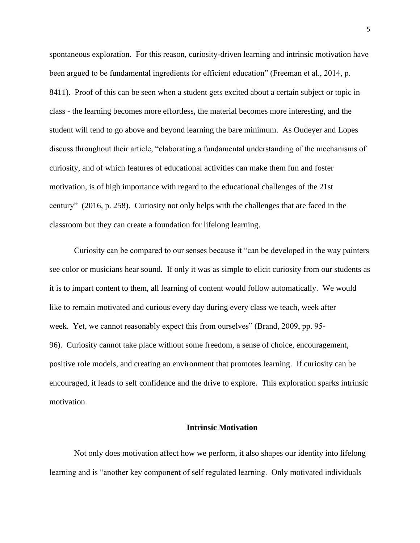spontaneous exploration. For this reason, curiosity-driven learning and intrinsic motivation have been argued to be fundamental ingredients for efficient education" (Freeman et al., 2014, p. 8411). Proof of this can be seen when a student gets excited about a certain subject or topic in class - the learning becomes more effortless, the material becomes more interesting, and the student will tend to go above and beyond learning the bare minimum. As Oudeyer and Lopes discuss throughout their article, "elaborating a fundamental understanding of the mechanisms of curiosity, and of which features of educational activities can make them fun and foster motivation, is of high importance with regard to the educational challenges of the 21st century" (2016, p. 258). Curiosity not only helps with the challenges that are faced in the classroom but they can create a foundation for lifelong learning.

Curiosity can be compared to our senses because it "can be developed in the way painters see color or musicians hear sound. If only it was as simple to elicit curiosity from our students as it is to impart content to them, all learning of content would follow automatically. We would like to remain motivated and curious every day during every class we teach, week after week. Yet, we cannot reasonably expect this from ourselves" (Brand, 2009, pp. 95- 96). Curiosity cannot take place without some freedom, a sense of choice, encouragement, positive role models, and creating an environment that promotes learning. If curiosity can be encouraged, it leads to self confidence and the drive to explore. This exploration sparks intrinsic motivation.

#### **Intrinsic Motivation**

Not only does motivation affect how we perform, it also shapes our identity into lifelong learning and is "another key component of self regulated learning. Only motivated individuals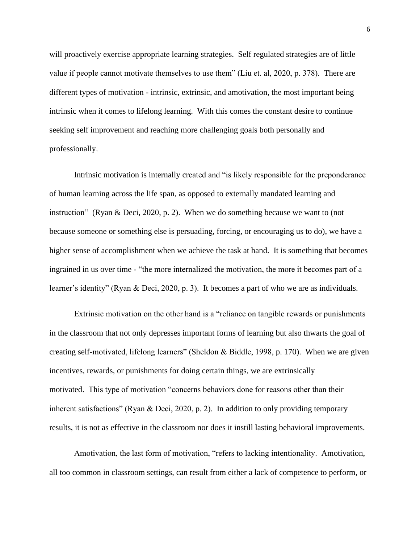will proactively exercise appropriate learning strategies. Self regulated strategies are of little value if people cannot motivate themselves to use them" (Liu et. al, 2020, p. 378). There are different types of motivation - intrinsic, extrinsic, and amotivation, the most important being intrinsic when it comes to lifelong learning. With this comes the constant desire to continue seeking self improvement and reaching more challenging goals both personally and professionally.

Intrinsic motivation is internally created and "is likely responsible for the preponderance of human learning across the life span, as opposed to externally mandated learning and instruction" (Ryan & Deci, 2020, p. 2). When we do something because we want to (not because someone or something else is persuading, forcing, or encouraging us to do), we have a higher sense of accomplishment when we achieve the task at hand. It is something that becomes ingrained in us over time - "the more internalized the motivation, the more it becomes part of a learner's identity" (Ryan & Deci, 2020, p. 3). It becomes a part of who we are as individuals.

Extrinsic motivation on the other hand is a "reliance on tangible rewards or punishments in the classroom that not only depresses important forms of learning but also thwarts the goal of creating self-motivated, lifelong learners" (Sheldon & Biddle, 1998, p. 170). When we are given incentives, rewards, or punishments for doing certain things, we are extrinsically motivated. This type of motivation "concerns behaviors done for reasons other than their inherent satisfactions" (Ryan & Deci, 2020, p. 2). In addition to only providing temporary results, it is not as effective in the classroom nor does it instill lasting behavioral improvements.

Amotivation, the last form of motivation, "refers to lacking intentionality. Amotivation, all too common in classroom settings, can result from either a lack of competence to perform, or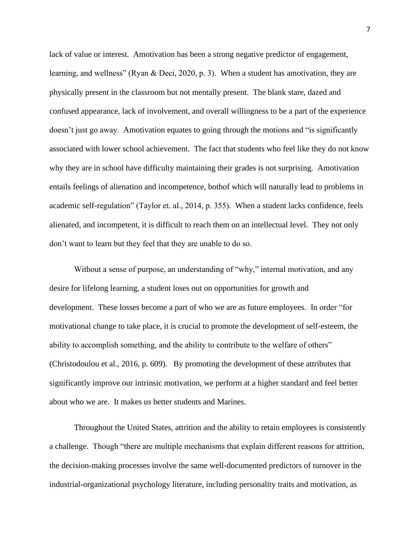lack of value or interest. Amotivation has been a strong negative predictor of engagement, learning, and wellness" (Ryan & Deci, 2020, p. 3). When a student has amotivation, they are physically present in the classroom but not mentally present. The blank stare, dazed and confused appearance, lack of involvement, and overall willingness to be a part of the experience doesn't just go away. Amotivation equates to going through the motions and "is significantly associated with lower school achievement. The fact that students who feel like they do not know why they are in school have difficulty maintaining their grades is not surprising. Amotivation entails feelings of alienation and incompetence, bothof which will naturally lead to problems in academic self-regulation" (Taylor et. al., 2014, p. 355). When a student lacks confidence, feels alienated, and incompetent, it is difficult to reach them on an intellectual level. They not only don't want to learn but they feel that they are unable to do so.

Without a sense of purpose, an understanding of "why," internal motivation, and any desire for lifelong learning, a student loses out on opportunities for growth and development. These losses become a part of who we are as future employees. In order "for motivational change to take place, it is crucial to promote the development of self-esteem, the ability to accomplish something, and the ability to contribute to the welfare of others" (Christodoulou et al., 2016, p. 609). By promoting the development of these attributes that significantly improve our intrinsic motivation, we perform at a higher standard and feel better about who we are. It makes us better students and Marines.

Throughout the United States, attrition and the ability to retain employees is consistently a challenge. Though "there are multiple mechanisms that explain different reasons for attrition, the decision-making processes involve the same well-documented predictors of turnover in the industrial-organizational psychology literature, including personality traits and motivation, as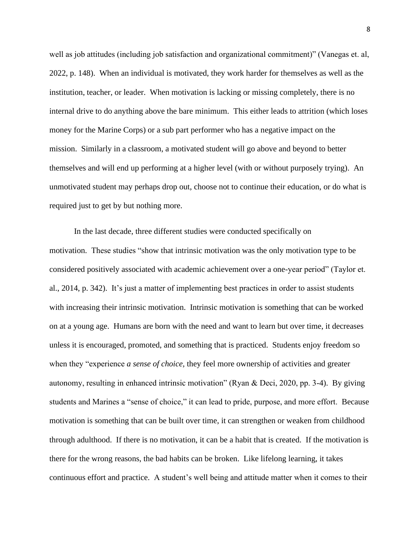well as job attitudes (including job satisfaction and organizational commitment)" (Vanegas et. al, 2022, p. 148). When an individual is motivated, they work harder for themselves as well as the institution, teacher, or leader. When motivation is lacking or missing completely, there is no internal drive to do anything above the bare minimum. This either leads to attrition (which loses money for the Marine Corps) or a sub part performer who has a negative impact on the mission. Similarly in a classroom, a motivated student will go above and beyond to better themselves and will end up performing at a higher level (with or without purposely trying). An unmotivated student may perhaps drop out, choose not to continue their education, or do what is required just to get by but nothing more.

In the last decade, three different studies were conducted specifically on motivation. These studies "show that intrinsic motivation was the only motivation type to be considered positively associated with academic achievement over a one-year period" (Taylor et. al., 2014, p. 342). It's just a matter of implementing best practices in order to assist students with increasing their intrinsic motivation. Intrinsic motivation is something that can be worked on at a young age. Humans are born with the need and want to learn but over time, it decreases unless it is encouraged, promoted, and something that is practiced. Students enjoy freedom so when they "experience *a sense of choice,* they feel more ownership of activities and greater autonomy, resulting in enhanced intrinsic motivation" (Ryan & Deci, 2020, pp. 3-4). By giving students and Marines a "sense of choice," it can lead to pride, purpose, and more effort. Because motivation is something that can be built over time, it can strengthen or weaken from childhood through adulthood. If there is no motivation, it can be a habit that is created. If the motivation is there for the wrong reasons, the bad habits can be broken. Like lifelong learning, it takes continuous effort and practice. A student's well being and attitude matter when it comes to their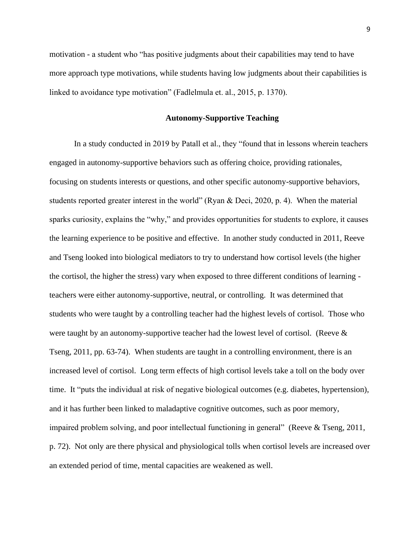motivation - a student who "has positive judgments about their capabilities may tend to have more approach type motivations, while students having low judgments about their capabilities is linked to avoidance type motivation" (Fadlelmula et. al., 2015, p. 1370).

#### **Autonomy-Supportive Teaching**

In a study conducted in 2019 by Patall et al., they "found that in lessons wherein teachers engaged in autonomy-supportive behaviors such as offering choice, providing rationales, focusing on students interests or questions, and other specific autonomy-supportive behaviors, students reported greater interest in the world" (Ryan & Deci, 2020, p. 4). When the material sparks curiosity, explains the "why," and provides opportunities for students to explore, it causes the learning experience to be positive and effective. In another study conducted in 2011, Reeve and Tseng looked into biological mediators to try to understand how cortisol levels (the higher the cortisol, the higher the stress) vary when exposed to three different conditions of learning teachers were either autonomy-supportive, neutral, or controlling. It was determined that students who were taught by a controlling teacher had the highest levels of cortisol. Those who were taught by an autonomy-supportive teacher had the lowest level of cortisol. (Reeve  $\&$ Tseng, 2011, pp. 63-74). When students are taught in a controlling environment, there is an increased level of cortisol. Long term effects of high cortisol levels take a toll on the body over time. It "puts the individual at risk of negative biological outcomes (e.g. diabetes, hypertension), and it has further been linked to maladaptive cognitive outcomes, such as poor memory, impaired problem solving, and poor intellectual functioning in general" (Reeve & Tseng, 2011, p. 72). Not only are there physical and physiological tolls when cortisol levels are increased over an extended period of time, mental capacities are weakened as well.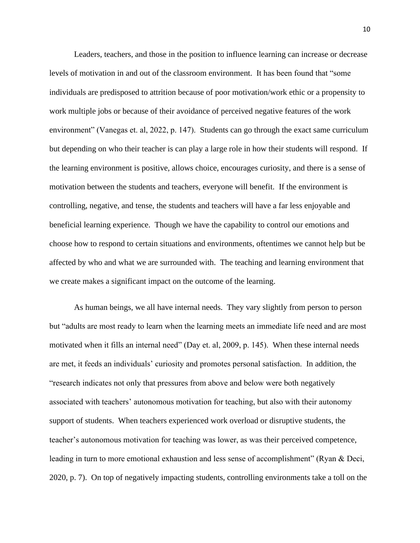Leaders, teachers, and those in the position to influence learning can increase or decrease levels of motivation in and out of the classroom environment. It has been found that "some individuals are predisposed to attrition because of poor motivation/work ethic or a propensity to work multiple jobs or because of their avoidance of perceived negative features of the work environment" (Vanegas et. al, 2022, p. 147). Students can go through the exact same curriculum but depending on who their teacher is can play a large role in how their students will respond. If the learning environment is positive, allows choice, encourages curiosity, and there is a sense of motivation between the students and teachers, everyone will benefit. If the environment is controlling, negative, and tense, the students and teachers will have a far less enjoyable and beneficial learning experience. Though we have the capability to control our emotions and choose how to respond to certain situations and environments, oftentimes we cannot help but be affected by who and what we are surrounded with. The teaching and learning environment that we create makes a significant impact on the outcome of the learning.

As human beings, we all have internal needs. They vary slightly from person to person but "adults are most ready to learn when the learning meets an immediate life need and are most motivated when it fills an internal need" (Day et. al, 2009, p. 145). When these internal needs are met, it feeds an individuals' curiosity and promotes personal satisfaction. In addition, the "research indicates not only that pressures from above and below were both negatively associated with teachers' autonomous motivation for teaching, but also with their autonomy support of students. When teachers experienced work overload or disruptive students, the teacher's autonomous motivation for teaching was lower, as was their perceived competence, leading in turn to more emotional exhaustion and less sense of accomplishment" (Ryan & Deci, 2020, p. 7). On top of negatively impacting students, controlling environments take a toll on the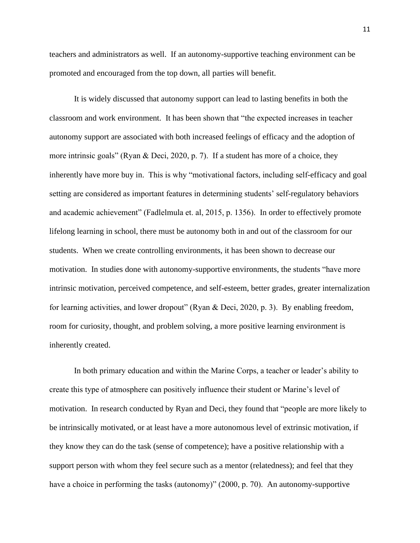teachers and administrators as well. If an autonomy-supportive teaching environment can be promoted and encouraged from the top down, all parties will benefit.

It is widely discussed that autonomy support can lead to lasting benefits in both the classroom and work environment. It has been shown that "the expected increases in teacher autonomy support are associated with both increased feelings of efficacy and the adoption of more intrinsic goals" (Ryan & Deci, 2020, p. 7). If a student has more of a choice, they inherently have more buy in. This is why "motivational factors, including self-efficacy and goal setting are considered as important features in determining students' self-regulatory behaviors and academic achievement" (Fadlelmula et. al, 2015, p. 1356). In order to effectively promote lifelong learning in school, there must be autonomy both in and out of the classroom for our students. When we create controlling environments, it has been shown to decrease our motivation. In studies done with autonomy-supportive environments, the students "have more intrinsic motivation, perceived competence, and self-esteem, better grades, greater internalization for learning activities, and lower dropout" (Ryan & Deci, 2020, p. 3). By enabling freedom, room for curiosity, thought, and problem solving, a more positive learning environment is inherently created.

In both primary education and within the Marine Corps, a teacher or leader's ability to create this type of atmosphere can positively influence their student or Marine's level of motivation. In research conducted by Ryan and Deci, they found that "people are more likely to be intrinsically motivated, or at least have a more autonomous level of extrinsic motivation, if they know they can do the task (sense of competence); have a positive relationship with a support person with whom they feel secure such as a mentor (relatedness); and feel that they have a choice in performing the tasks (autonomy)" (2000, p. 70). An autonomy-supportive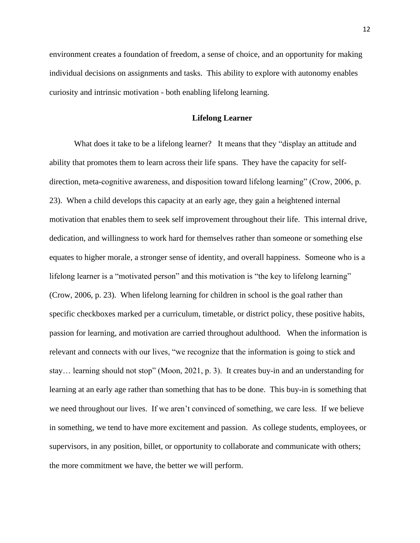environment creates a foundation of freedom, a sense of choice, and an opportunity for making individual decisions on assignments and tasks. This ability to explore with autonomy enables curiosity and intrinsic motivation - both enabling lifelong learning.

#### **Lifelong Learner**

What does it take to be a lifelong learner? It means that they "display an attitude and ability that promotes them to learn across their life spans. They have the capacity for selfdirection, meta-cognitive awareness, and disposition toward lifelong learning" (Crow, 2006, p. 23). When a child develops this capacity at an early age, they gain a heightened internal motivation that enables them to seek self improvement throughout their life. This internal drive, dedication, and willingness to work hard for themselves rather than someone or something else equates to higher morale, a stronger sense of identity, and overall happiness. Someone who is a lifelong learner is a "motivated person" and this motivation is "the key to lifelong learning" (Crow, 2006, p. 23). When lifelong learning for children in school is the goal rather than specific checkboxes marked per a curriculum, timetable, or district policy, these positive habits, passion for learning, and motivation are carried throughout adulthood. When the information is relevant and connects with our lives, "we recognize that the information is going to stick and stay… learning should not stop" (Moon, 2021, p. 3). It creates buy-in and an understanding for learning at an early age rather than something that has to be done. This buy-in is something that we need throughout our lives. If we aren't convinced of something, we care less. If we believe in something, we tend to have more excitement and passion. As college students, employees, or supervisors, in any position, billet, or opportunity to collaborate and communicate with others; the more commitment we have, the better we will perform.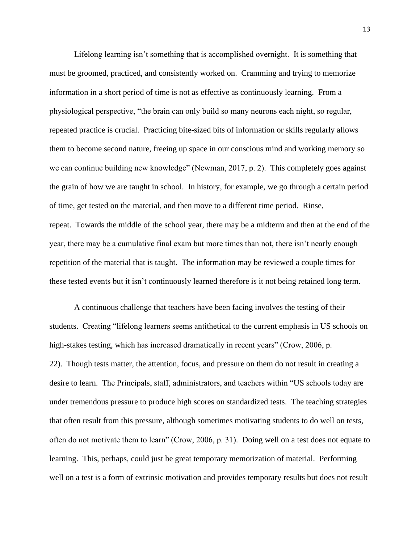Lifelong learning isn't something that is accomplished overnight. It is something that must be groomed, practiced, and consistently worked on. Cramming and trying to memorize information in a short period of time is not as effective as continuously learning. From a physiological perspective, "the brain can only build so many neurons each night, so regular, repeated practice is crucial. Practicing bite-sized bits of information or skills regularly allows them to become second nature, freeing up space in our conscious mind and working memory so we can continue building new knowledge" (Newman, 2017, p. 2). This completely goes against the grain of how we are taught in school. In history, for example, we go through a certain period of time, get tested on the material, and then move to a different time period. Rinse, repeat. Towards the middle of the school year, there may be a midterm and then at the end of the year, there may be a cumulative final exam but more times than not, there isn't nearly enough repetition of the material that is taught. The information may be reviewed a couple times for these tested events but it isn't continuously learned therefore is it not being retained long term.

A continuous challenge that teachers have been facing involves the testing of their students. Creating "lifelong learners seems antithetical to the current emphasis in US schools on high-stakes testing, which has increased dramatically in recent years" (Crow, 2006, p. 22). Though tests matter, the attention, focus, and pressure on them do not result in creating a desire to learn. The Principals, staff, administrators, and teachers within "US schools today are under tremendous pressure to produce high scores on standardized tests. The teaching strategies that often result from this pressure, although sometimes motivating students to do well on tests, often do not motivate them to learn" (Crow, 2006, p. 31). Doing well on a test does not equate to learning. This, perhaps, could just be great temporary memorization of material. Performing well on a test is a form of extrinsic motivation and provides temporary results but does not result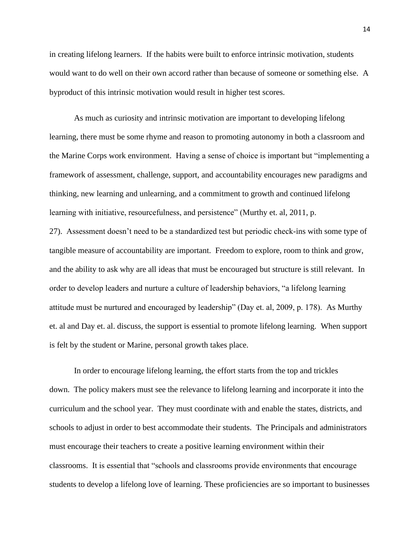in creating lifelong learners. If the habits were built to enforce intrinsic motivation, students would want to do well on their own accord rather than because of someone or something else. A byproduct of this intrinsic motivation would result in higher test scores.

As much as curiosity and intrinsic motivation are important to developing lifelong learning, there must be some rhyme and reason to promoting autonomy in both a classroom and the Marine Corps work environment. Having a sense of choice is important but "implementing a framework of assessment, challenge, support, and accountability encourages new paradigms and thinking, new learning and unlearning, and a commitment to growth and continued lifelong learning with initiative, resourcefulness, and persistence" (Murthy et. al, 2011, p.

27). Assessment doesn't need to be a standardized test but periodic check-ins with some type of tangible measure of accountability are important. Freedom to explore, room to think and grow, and the ability to ask why are all ideas that must be encouraged but structure is still relevant. In order to develop leaders and nurture a culture of leadership behaviors, "a lifelong learning attitude must be nurtured and encouraged by leadership" (Day et. al, 2009, p. 178). As Murthy et. al and Day et. al. discuss, the support is essential to promote lifelong learning. When support is felt by the student or Marine, personal growth takes place.

In order to encourage lifelong learning, the effort starts from the top and trickles down. The policy makers must see the relevance to lifelong learning and incorporate it into the curriculum and the school year. They must coordinate with and enable the states, districts, and schools to adjust in order to best accommodate their students. The Principals and administrators must encourage their teachers to create a positive learning environment within their classrooms. It is essential that "schools and classrooms provide environments that encourage students to develop a lifelong love of learning. These proficiencies are so important to businesses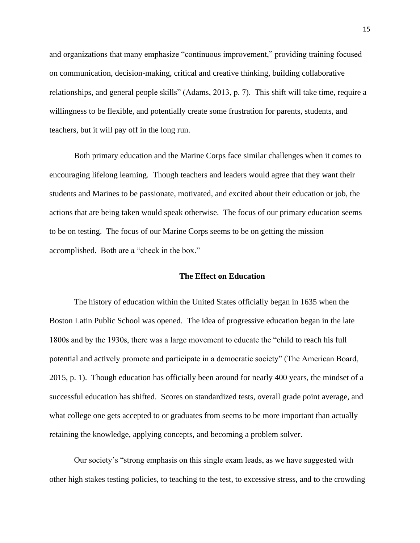and organizations that many emphasize "continuous improvement," providing training focused on communication, decision-making, critical and creative thinking, building collaborative relationships, and general people skills" (Adams, 2013, p. 7). This shift will take time, require a willingness to be flexible, and potentially create some frustration for parents, students, and teachers, but it will pay off in the long run.

Both primary education and the Marine Corps face similar challenges when it comes to encouraging lifelong learning. Though teachers and leaders would agree that they want their students and Marines to be passionate, motivated, and excited about their education or job, the actions that are being taken would speak otherwise. The focus of our primary education seems to be on testing. The focus of our Marine Corps seems to be on getting the mission accomplished. Both are a "check in the box."

#### **The Effect on Education**

The history of education within the United States officially began in 1635 when the Boston Latin Public School was opened. The idea of progressive education began in the late 1800s and by the 1930s, there was a large movement to educate the "child to reach his full potential and actively promote and participate in a democratic society" (The American Board, 2015, p. 1). Though education has officially been around for nearly 400 years, the mindset of a successful education has shifted. Scores on standardized tests, overall grade point average, and what college one gets accepted to or graduates from seems to be more important than actually retaining the knowledge, applying concepts, and becoming a problem solver.

Our society's "strong emphasis on this single exam leads, as we have suggested with other high stakes testing policies, to teaching to the test, to excessive stress, and to the crowding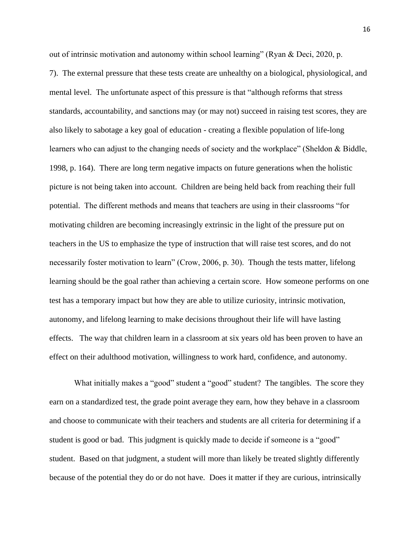out of intrinsic motivation and autonomy within school learning" (Ryan & Deci, 2020, p.

7). The external pressure that these tests create are unhealthy on a biological, physiological, and mental level. The unfortunate aspect of this pressure is that "although reforms that stress standards, accountability, and sanctions may (or may not) succeed in raising test scores, they are also likely to sabotage a key goal of education - creating a flexible population of life-long learners who can adjust to the changing needs of society and the workplace" (Sheldon & Biddle, 1998, p. 164). There are long term negative impacts on future generations when the holistic picture is not being taken into account. Children are being held back from reaching their full potential. The different methods and means that teachers are using in their classrooms "for motivating children are becoming increasingly extrinsic in the light of the pressure put on teachers in the US to emphasize the type of instruction that will raise test scores, and do not necessarily foster motivation to learn" (Crow, 2006, p. 30). Though the tests matter, lifelong learning should be the goal rather than achieving a certain score. How someone performs on one test has a temporary impact but how they are able to utilize curiosity, intrinsic motivation, autonomy, and lifelong learning to make decisions throughout their life will have lasting effects. The way that children learn in a classroom at six years old has been proven to have an effect on their adulthood motivation, willingness to work hard, confidence, and autonomy.

What initially makes a "good" student a "good" student? The tangibles. The score they earn on a standardized test, the grade point average they earn, how they behave in a classroom and choose to communicate with their teachers and students are all criteria for determining if a student is good or bad. This judgment is quickly made to decide if someone is a "good" student. Based on that judgment, a student will more than likely be treated slightly differently because of the potential they do or do not have. Does it matter if they are curious, intrinsically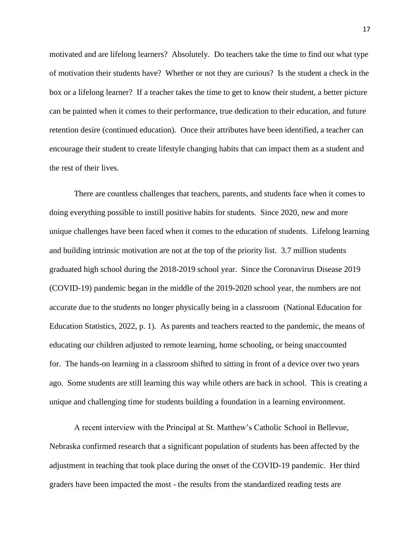motivated and are lifelong learners? Absolutely. Do teachers take the time to find out what type of motivation their students have? Whether or not they are curious? Is the student a check in the box or a lifelong learner? If a teacher takes the time to get to know their student, a better picture can be painted when it comes to their performance, true dedication to their education, and future retention desire (continued education). Once their attributes have been identified, a teacher can encourage their student to create lifestyle changing habits that can impact them as a student and the rest of their lives.

There are countless challenges that teachers, parents, and students face when it comes to doing everything possible to instill positive habits for students. Since 2020, new and more unique challenges have been faced when it comes to the education of students. Lifelong learning and building intrinsic motivation are not at the top of the priority list. 3.7 million students graduated high school during the 2018-2019 school year. Since the Coronavirus Disease 2019 (COVID-19) pandemic began in the middle of the 2019-2020 school year, the numbers are not accurate due to the students no longer physically being in a classroom (National Education for Education Statistics, 2022, p. 1). As parents and teachers reacted to the pandemic, the means of educating our children adjusted to remote learning, home schooling, or being unaccounted for. The hands-on learning in a classroom shifted to sitting in front of a device over two years ago. Some students are still learning this way while others are back in school. This is creating a unique and challenging time for students building a foundation in a learning environment.

A recent interview with the Principal at St. Matthew's Catholic School in Bellevue, Nebraska confirmed research that a significant population of students has been affected by the adjustment in teaching that took place during the onset of the COVID-19 pandemic. Her third graders have been impacted the most - the results from the standardized reading tests are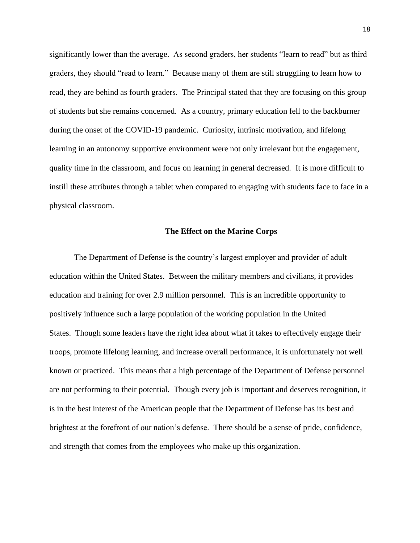significantly lower than the average. As second graders, her students "learn to read" but as third graders, they should "read to learn." Because many of them are still struggling to learn how to read, they are behind as fourth graders. The Principal stated that they are focusing on this group of students but she remains concerned. As a country, primary education fell to the backburner during the onset of the COVID-19 pandemic. Curiosity, intrinsic motivation, and lifelong learning in an autonomy supportive environment were not only irrelevant but the engagement, quality time in the classroom, and focus on learning in general decreased. It is more difficult to instill these attributes through a tablet when compared to engaging with students face to face in a physical classroom.

#### **The Effect on the Marine Corps**

The Department of Defense is the country's largest employer and provider of adult education within the United States. Between the military members and civilians, it provides education and training for over 2.9 million personnel. This is an incredible opportunity to positively influence such a large population of the working population in the United States. Though some leaders have the right idea about what it takes to effectively engage their troops, promote lifelong learning, and increase overall performance, it is unfortunately not well known or practiced. This means that a high percentage of the Department of Defense personnel are not performing to their potential. Though every job is important and deserves recognition, it is in the best interest of the American people that the Department of Defense has its best and brightest at the forefront of our nation's defense. There should be a sense of pride, confidence, and strength that comes from the employees who make up this organization.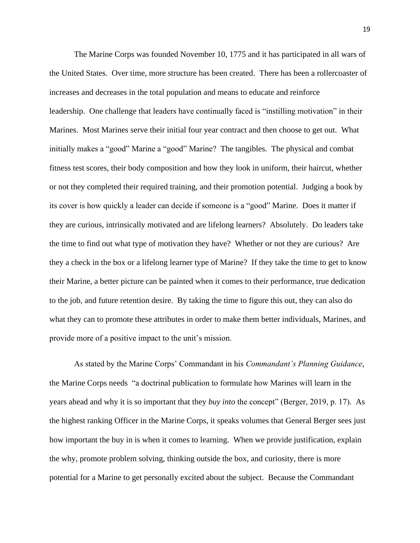The Marine Corps was founded November 10, 1775 and it has participated in all wars of the United States. Over time, more structure has been created. There has been a rollercoaster of increases and decreases in the total population and means to educate and reinforce leadership. One challenge that leaders have continually faced is "instilling motivation" in their Marines. Most Marines serve their initial four year contract and then choose to get out. What initially makes a "good" Marine a "good" Marine? The tangibles. The physical and combat fitness test scores, their body composition and how they look in uniform, their haircut, whether or not they completed their required training, and their promotion potential. Judging a book by its cover is how quickly a leader can decide if someone is a "good" Marine. Does it matter if they are curious, intrinsically motivated and are lifelong learners? Absolutely. Do leaders take the time to find out what type of motivation they have? Whether or not they are curious? Are they a check in the box or a lifelong learner type of Marine? If they take the time to get to know their Marine, a better picture can be painted when it comes to their performance, true dedication to the job, and future retention desire. By taking the time to figure this out, they can also do what they can to promote these attributes in order to make them better individuals, Marines, and provide more of a positive impact to the unit's mission.

As stated by the Marine Corps' Commandant in his *Commandant's Planning Guidance*, the Marine Corps needs "a doctrinal publication to formulate how Marines will learn in the years ahead and why it is so important that they *buy into* the concept" (Berger, 2019, p. 17). As the highest ranking Officer in the Marine Corps, it speaks volumes that General Berger sees just how important the buy in is when it comes to learning. When we provide justification, explain the why, promote problem solving, thinking outside the box, and curiosity, there is more potential for a Marine to get personally excited about the subject. Because the Commandant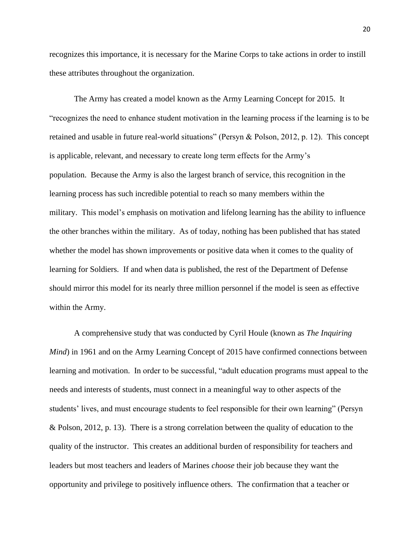recognizes this importance, it is necessary for the Marine Corps to take actions in order to instill these attributes throughout the organization.

The Army has created a model known as the Army Learning Concept for 2015. It "recognizes the need to enhance student motivation in the learning process if the learning is to be retained and usable in future real-world situations" (Persyn & Polson, 2012, p. 12). This concept is applicable, relevant, and necessary to create long term effects for the Army's population. Because the Army is also the largest branch of service, this recognition in the learning process has such incredible potential to reach so many members within the military. This model's emphasis on motivation and lifelong learning has the ability to influence the other branches within the military. As of today, nothing has been published that has stated whether the model has shown improvements or positive data when it comes to the quality of learning for Soldiers. If and when data is published, the rest of the Department of Defense should mirror this model for its nearly three million personnel if the model is seen as effective within the Army.

A comprehensive study that was conducted by Cyril Houle (known as *The Inquiring Mind*) in 1961 and on the Army Learning Concept of 2015 have confirmed connections between learning and motivation. In order to be successful, "adult education programs must appeal to the needs and interests of students, must connect in a meaningful way to other aspects of the students' lives, and must encourage students to feel responsible for their own learning" (Persyn & Polson, 2012, p. 13). There is a strong correlation between the quality of education to the quality of the instructor. This creates an additional burden of responsibility for teachers and leaders but most teachers and leaders of Marines *choose* their job because they want the opportunity and privilege to positively influence others. The confirmation that a teacher or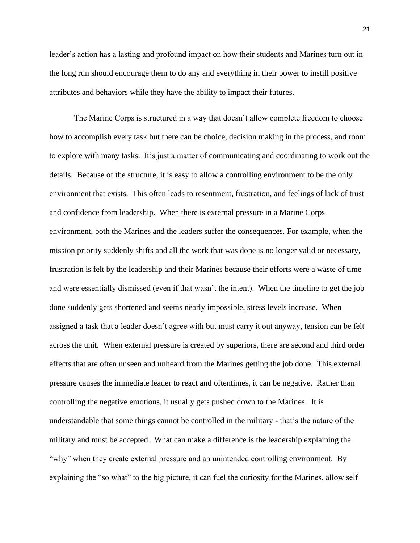leader's action has a lasting and profound impact on how their students and Marines turn out in the long run should encourage them to do any and everything in their power to instill positive attributes and behaviors while they have the ability to impact their futures.

The Marine Corps is structured in a way that doesn't allow complete freedom to choose how to accomplish every task but there can be choice, decision making in the process, and room to explore with many tasks. It's just a matter of communicating and coordinating to work out the details. Because of the structure, it is easy to allow a controlling environment to be the only environment that exists. This often leads to resentment, frustration, and feelings of lack of trust and confidence from leadership. When there is external pressure in a Marine Corps environment, both the Marines and the leaders suffer the consequences. For example, when the mission priority suddenly shifts and all the work that was done is no longer valid or necessary, frustration is felt by the leadership and their Marines because their efforts were a waste of time and were essentially dismissed (even if that wasn't the intent). When the timeline to get the job done suddenly gets shortened and seems nearly impossible, stress levels increase. When assigned a task that a leader doesn't agree with but must carry it out anyway, tension can be felt across the unit. When external pressure is created by superiors, there are second and third order effects that are often unseen and unheard from the Marines getting the job done. This external pressure causes the immediate leader to react and oftentimes, it can be negative. Rather than controlling the negative emotions, it usually gets pushed down to the Marines. It is understandable that some things cannot be controlled in the military - that's the nature of the military and must be accepted. What can make a difference is the leadership explaining the "why" when they create external pressure and an unintended controlling environment. By explaining the "so what" to the big picture, it can fuel the curiosity for the Marines, allow self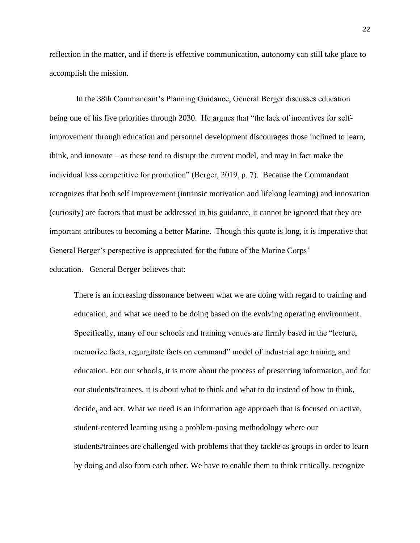reflection in the matter, and if there is effective communication, autonomy can still take place to accomplish the mission.

In the 38th Commandant's Planning Guidance, General Berger discusses education being one of his five priorities through 2030. He argues that "the lack of incentives for selfimprovement through education and personnel development discourages those inclined to learn, think, and innovate – as these tend to disrupt the current model, and may in fact make the individual less competitive for promotion" (Berger, 2019, p. 7). Because the Commandant recognizes that both self improvement (intrinsic motivation and lifelong learning) and innovation (curiosity) are factors that must be addressed in his guidance, it cannot be ignored that they are important attributes to becoming a better Marine. Though this quote is long, it is imperative that General Berger's perspective is appreciated for the future of the Marine Corps' education. General Berger believes that:

There is an increasing dissonance between what we are doing with regard to training and education, and what we need to be doing based on the evolving operating environment. Specifically, many of our schools and training venues are firmly based in the "lecture, memorize facts, regurgitate facts on command" model of industrial age training and education. For our schools, it is more about the process of presenting information, and for our students/trainees, it is about what to think and what to do instead of how to think, decide, and act. What we need is an information age approach that is focused on active, student-centered learning using a problem-posing methodology where our students/trainees are challenged with problems that they tackle as groups in order to learn by doing and also from each other. We have to enable them to think critically, recognize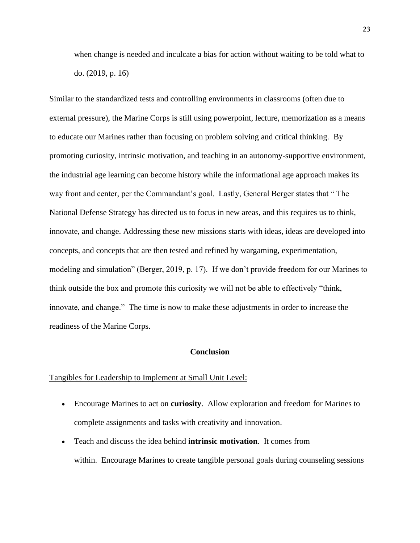when change is needed and inculcate a bias for action without waiting to be told what to do. (2019, p. 16)

Similar to the standardized tests and controlling environments in classrooms (often due to external pressure), the Marine Corps is still using powerpoint, lecture, memorization as a means to educate our Marines rather than focusing on problem solving and critical thinking. By promoting curiosity, intrinsic motivation, and teaching in an autonomy-supportive environment, the industrial age learning can become history while the informational age approach makes its way front and center, per the Commandant's goal. Lastly, General Berger states that " The National Defense Strategy has directed us to focus in new areas, and this requires us to think, innovate, and change. Addressing these new missions starts with ideas, ideas are developed into concepts, and concepts that are then tested and refined by wargaming, experimentation, modeling and simulation" (Berger, 2019, p. 17). If we don't provide freedom for our Marines to think outside the box and promote this curiosity we will not be able to effectively "think, innovate, and change." The time is now to make these adjustments in order to increase the readiness of the Marine Corps.

#### **Conclusion**

#### Tangibles for Leadership to Implement at Small Unit Level:

- Encourage Marines to act on **curiosity**. Allow exploration and freedom for Marines to complete assignments and tasks with creativity and innovation.
- Teach and discuss the idea behind **intrinsic motivation**. It comes from within. Encourage Marines to create tangible personal goals during counseling sessions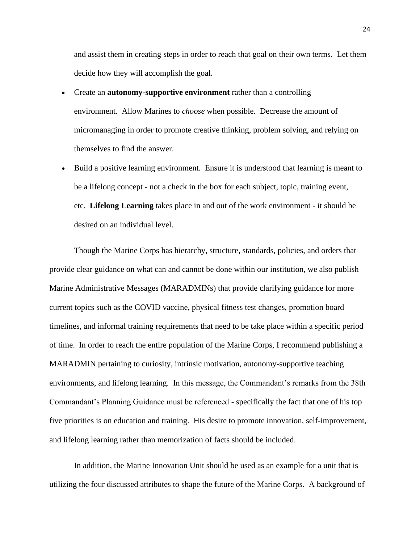and assist them in creating steps in order to reach that goal on their own terms. Let them decide how they will accomplish the goal.

- Create an **autonomy-supportive environment** rather than a controlling environment. Allow Marines to *choose* when possible. Decrease the amount of micromanaging in order to promote creative thinking, problem solving, and relying on themselves to find the answer.
- Build a positive learning environment. Ensure it is understood that learning is meant to be a lifelong concept - not a check in the box for each subject, topic, training event, etc. **Lifelong Learning** takes place in and out of the work environment - it should be desired on an individual level.

Though the Marine Corps has hierarchy, structure, standards, policies, and orders that provide clear guidance on what can and cannot be done within our institution, we also publish Marine Administrative Messages (MARADMINs) that provide clarifying guidance for more current topics such as the COVID vaccine, physical fitness test changes, promotion board timelines, and informal training requirements that need to be take place within a specific period of time. In order to reach the entire population of the Marine Corps, I recommend publishing a MARADMIN pertaining to curiosity, intrinsic motivation, autonomy-supportive teaching environments, and lifelong learning. In this message, the Commandant's remarks from the 38th Commandant's Planning Guidance must be referenced - specifically the fact that one of his top five priorities is on education and training. His desire to promote innovation, self-improvement, and lifelong learning rather than memorization of facts should be included.

In addition, the Marine Innovation Unit should be used as an example for a unit that is utilizing the four discussed attributes to shape the future of the Marine Corps. A background of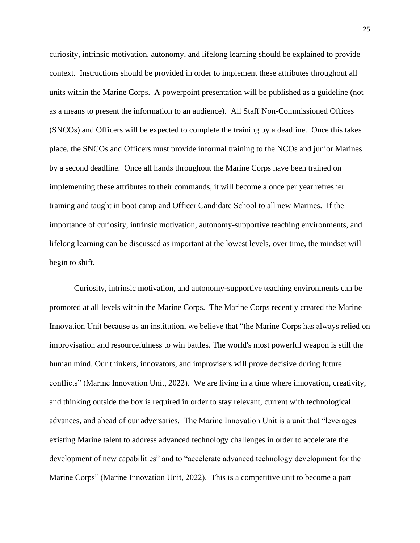curiosity, intrinsic motivation, autonomy, and lifelong learning should be explained to provide context. Instructions should be provided in order to implement these attributes throughout all units within the Marine Corps. A powerpoint presentation will be published as a guideline (not as a means to present the information to an audience). All Staff Non-Commissioned Offices (SNCOs) and Officers will be expected to complete the training by a deadline. Once this takes place, the SNCOs and Officers must provide informal training to the NCOs and junior Marines by a second deadline. Once all hands throughout the Marine Corps have been trained on implementing these attributes to their commands, it will become a once per year refresher training and taught in boot camp and Officer Candidate School to all new Marines. If the importance of curiosity, intrinsic motivation, autonomy-supportive teaching environments, and lifelong learning can be discussed as important at the lowest levels, over time, the mindset will begin to shift.

Curiosity, intrinsic motivation, and autonomy-supportive teaching environments can be promoted at all levels within the Marine Corps. The Marine Corps recently created the Marine Innovation Unit because as an institution, we believe that "the Marine Corps has always relied on improvisation and resourcefulness to win battles. The world's most powerful weapon is still the human mind. Our thinkers, innovators, and improvisers will prove decisive during future conflicts" (Marine Innovation Unit, 2022). We are living in a time where innovation, creativity, and thinking outside the box is required in order to stay relevant, current with technological advances, and ahead of our adversaries. The Marine Innovation Unit is a unit that "leverages existing Marine talent to address advanced technology challenges in order to accelerate the development of new capabilities" and to "accelerate advanced technology development for the Marine Corps" (Marine Innovation Unit, 2022). This is a competitive unit to become a part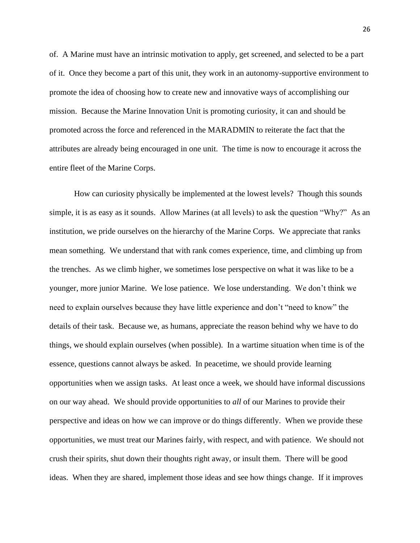of. A Marine must have an intrinsic motivation to apply, get screened, and selected to be a part of it. Once they become a part of this unit, they work in an autonomy-supportive environment to promote the idea of choosing how to create new and innovative ways of accomplishing our mission. Because the Marine Innovation Unit is promoting curiosity, it can and should be promoted across the force and referenced in the MARADMIN to reiterate the fact that the attributes are already being encouraged in one unit. The time is now to encourage it across the entire fleet of the Marine Corps.

How can curiosity physically be implemented at the lowest levels? Though this sounds simple, it is as easy as it sounds. Allow Marines (at all levels) to ask the question "Why?" As an institution, we pride ourselves on the hierarchy of the Marine Corps. We appreciate that ranks mean something. We understand that with rank comes experience, time, and climbing up from the trenches. As we climb higher, we sometimes lose perspective on what it was like to be a younger, more junior Marine. We lose patience. We lose understanding. We don't think we need to explain ourselves because they have little experience and don't "need to know" the details of their task. Because we, as humans, appreciate the reason behind why we have to do things, we should explain ourselves (when possible). In a wartime situation when time is of the essence, questions cannot always be asked. In peacetime, we should provide learning opportunities when we assign tasks. At least once a week, we should have informal discussions on our way ahead. We should provide opportunities to *all* of our Marines to provide their perspective and ideas on how we can improve or do things differently. When we provide these opportunities, we must treat our Marines fairly, with respect, and with patience. We should not crush their spirits, shut down their thoughts right away, or insult them. There will be good ideas. When they are shared, implement those ideas and see how things change. If it improves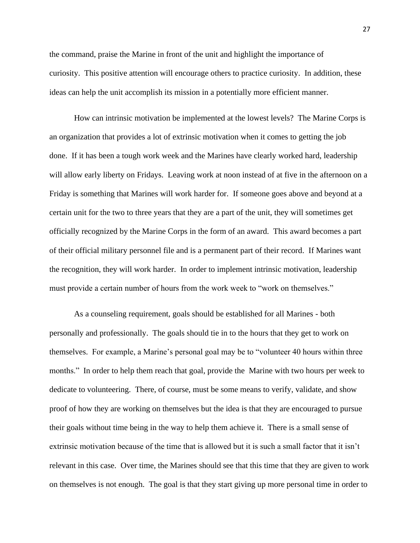the command, praise the Marine in front of the unit and highlight the importance of curiosity. This positive attention will encourage others to practice curiosity. In addition, these ideas can help the unit accomplish its mission in a potentially more efficient manner.

How can intrinsic motivation be implemented at the lowest levels? The Marine Corps is an organization that provides a lot of extrinsic motivation when it comes to getting the job done. If it has been a tough work week and the Marines have clearly worked hard, leadership will allow early liberty on Fridays. Leaving work at noon instead of at five in the afternoon on a Friday is something that Marines will work harder for. If someone goes above and beyond at a certain unit for the two to three years that they are a part of the unit, they will sometimes get officially recognized by the Marine Corps in the form of an award. This award becomes a part of their official military personnel file and is a permanent part of their record. If Marines want the recognition, they will work harder. In order to implement intrinsic motivation, leadership must provide a certain number of hours from the work week to "work on themselves."

As a counseling requirement, goals should be established for all Marines - both personally and professionally. The goals should tie in to the hours that they get to work on themselves. For example, a Marine's personal goal may be to "volunteer 40 hours within three months." In order to help them reach that goal, provide the Marine with two hours per week to dedicate to volunteering. There, of course, must be some means to verify, validate, and show proof of how they are working on themselves but the idea is that they are encouraged to pursue their goals without time being in the way to help them achieve it. There is a small sense of extrinsic motivation because of the time that is allowed but it is such a small factor that it isn't relevant in this case. Over time, the Marines should see that this time that they are given to work on themselves is not enough. The goal is that they start giving up more personal time in order to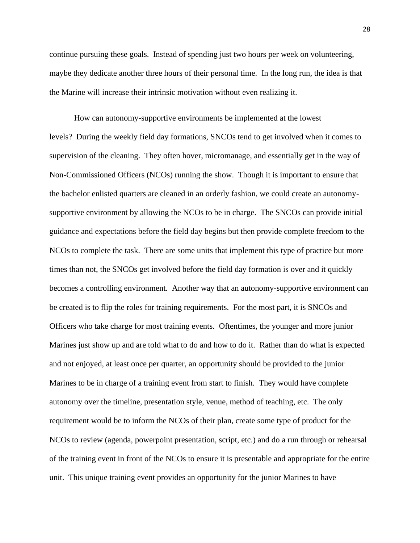continue pursuing these goals. Instead of spending just two hours per week on volunteering, maybe they dedicate another three hours of their personal time. In the long run, the idea is that the Marine will increase their intrinsic motivation without even realizing it.

How can autonomy-supportive environments be implemented at the lowest levels? During the weekly field day formations, SNCOs tend to get involved when it comes to supervision of the cleaning. They often hover, micromanage, and essentially get in the way of Non-Commissioned Officers (NCOs) running the show. Though it is important to ensure that the bachelor enlisted quarters are cleaned in an orderly fashion, we could create an autonomysupportive environment by allowing the NCOs to be in charge. The SNCOs can provide initial guidance and expectations before the field day begins but then provide complete freedom to the NCOs to complete the task. There are some units that implement this type of practice but more times than not, the SNCOs get involved before the field day formation is over and it quickly becomes a controlling environment. Another way that an autonomy-supportive environment can be created is to flip the roles for training requirements. For the most part, it is SNCOs and Officers who take charge for most training events. Oftentimes, the younger and more junior Marines just show up and are told what to do and how to do it. Rather than do what is expected and not enjoyed, at least once per quarter, an opportunity should be provided to the junior Marines to be in charge of a training event from start to finish. They would have complete autonomy over the timeline, presentation style, venue, method of teaching, etc. The only requirement would be to inform the NCOs of their plan, create some type of product for the NCOs to review (agenda, powerpoint presentation, script, etc.) and do a run through or rehearsal of the training event in front of the NCOs to ensure it is presentable and appropriate for the entire unit. This unique training event provides an opportunity for the junior Marines to have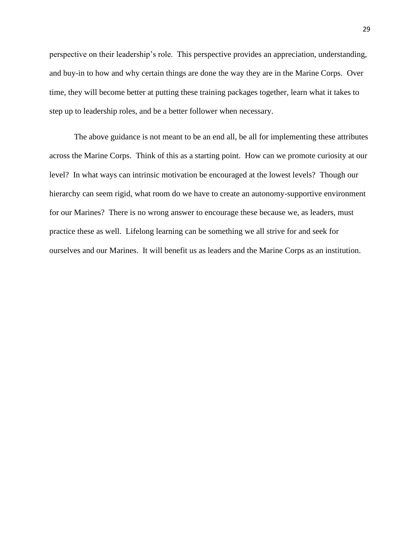perspective on their leadership's role. This perspective provides an appreciation, understanding, and buy-in to how and why certain things are done the way they are in the Marine Corps. Over time, they will become better at putting these training packages together, learn what it takes to step up to leadership roles, and be a better follower when necessary.

The above guidance is not meant to be an end all, be all for implementing these attributes across the Marine Corps. Think of this as a starting point. How can we promote curiosity at our level? In what ways can intrinsic motivation be encouraged at the lowest levels? Though our hierarchy can seem rigid, what room do we have to create an autonomy-supportive environment for our Marines? There is no wrong answer to encourage these because we, as leaders, must practice these as well. Lifelong learning can be something we all strive for and seek for ourselves and our Marines. It will benefit us as leaders and the Marine Corps as an institution.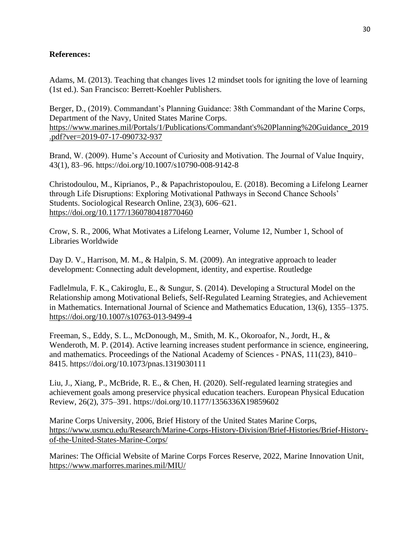### **References:**

Adams, M. (2013). Teaching that changes lives 12 mindset tools for igniting the love of learning (1st ed.). San Francisco: Berrett-Koehler Publishers.

Berger, D., (2019). Commandant's Planning Guidance: 38th Commandant of the Marine Corps, Department of the Navy, United States Marine Corps. [https://www.marines.mil/Portals/1/Publications/Commandant's%20Planning%20Guidance\\_2019](https://www.marines.mil/Portals/1/Publications/Commandant) [.pdf?ver=2019-07-17-090732-937](https://www.marines.mil/Portals/1/Publications/Commandant)

Brand, W. (2009). Hume's Account of Curiosity and Motivation. The Journal of Value Inquiry, 43(1), 83–96. https://doi.org/10.1007/s10790-008-9142-8

Christodoulou, M., Kiprianos, P., & Papachristopoulou, E. (2018). Becoming a Lifelong Learner through Life Disruptions: Exploring Motivational Pathways in Second Chance Schools' Students. Sociological Research Online, 23(3), 606–621. <https://doi.org/10.1177/1360780418770460>

Crow, S. R., 2006, What Motivates a Lifelong Learner, Volume 12, Number 1, School of Libraries Worldwide

Day D. V., Harrison, M. M., & Halpin, S. M. (2009). An integrative approach to leader development: Connecting adult development, identity, and expertise. Routledge

Fadlelmula, F. K., Cakiroglu, E., & Sungur, S. (2014). Developing a Structural Model on the Relationship among Motivational Beliefs, Self-Regulated Learning Strategies, and Achievement in Mathematics. International Journal of Science and Mathematics Education, 13(6), 1355–1375. <https://doi.org/10.1007/s10763-013-9499-4>

Freeman, S., Eddy, S. L., McDonough, M., Smith, M. K., Okoroafor, N., Jordt, H., & Wenderoth, M. P. (2014). Active learning increases student performance in science, engineering, and mathematics. Proceedings of the National Academy of Sciences - PNAS, 111(23), 8410– 8415. https://doi.org/10.1073/pnas.1319030111

Liu, J., Xiang, P., McBride, R. E., & Chen, H. (2020). Self-regulated learning strategies and achievement goals among preservice physical education teachers. European Physical Education Review, 26(2), 375–391. https://doi.org/10.1177/1356336X19859602

Marine Corps University, 2006, Brief History of the United States Marine Corps, [https://www.usmcu.edu/Research/Marine-Corps-History-Division/Brief-Histories/Brief-History](https://www.usmcu.edu/Research/Marine-Corps-History-Division/Brief-Histories/Brief-History-of-the-United-States-Marine-Corps/)[of-the-United-States-Marine-Corps/](https://www.usmcu.edu/Research/Marine-Corps-History-Division/Brief-Histories/Brief-History-of-the-United-States-Marine-Corps/)

Marines: The Official Website of Marine Corps Forces Reserve, 2022, Marine Innovation Unit, <https://www.marforres.marines.mil/MIU/>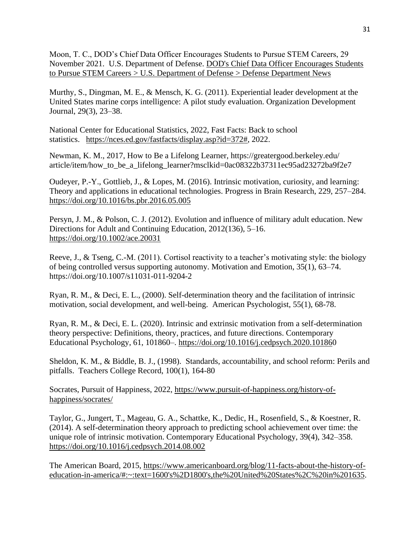Moon, T. C., DOD's Chief Data Officer Encourages Students to Pursue STEM Careers, 29 November 2021. U.S. Department of Defense. [DOD's Chief Data Officer Encourages Students](https://www.defense.gov/News/News-Stories/Article/Article/2855440/dods-chief-data-officer-encourages-students-to-pursue-stem-careers/)  [to Pursue STEM Careers > U.S. Department of Defense > Defense Department News](https://www.defense.gov/News/News-Stories/Article/Article/2855440/dods-chief-data-officer-encourages-students-to-pursue-stem-careers/)

Murthy, S., Dingman, M. E., & Mensch, K. G. (2011). Experiential leader development at the United States marine corps intelligence: A pilot study evaluation. Organization Development Journal, 29(3), 23–38.

National Center for Educational Statistics, 2022, Fast Facts: Back to school statistics. [https://nces.ed.gov/fastfacts/display.asp?id=372#,](https://nces.ed.gov/fastfacts/display.asp?id=372) 2022.

Newman, K. M., 2017, How to Be a Lifelong Learner, https://greatergood.berkeley.edu/ article/item/how\_to\_be\_a\_lifelong\_learner?msclkid=0ac08322b37311ec95ad23272ba9f2e7

Oudeyer, P.-Y., Gottlieb, J., & Lopes, M. (2016). Intrinsic motivation, curiosity, and learning: Theory and applications in educational technologies. Progress in Brain Research, 229, 257–284. <https://doi.org/10.1016/bs.pbr.2016.05.005>

Persyn, J. M., & Polson, C. J. (2012). Evolution and influence of military adult education. New Directions for Adult and Continuing Education, 2012(136), 5–16. <https://doi.org/10.1002/ace.20031>

Reeve, J., & Tseng, C.-M. (2011). Cortisol reactivity to a teacher's motivating style: the biology of being controlled versus supporting autonomy. Motivation and Emotion, 35(1), 63–74. https://doi.org/10.1007/s11031-011-9204-2

Ryan, R. M., & Deci, E. L., (2000). Self-determination theory and the facilitation of intrinsic motivation, social development, and well-being. American Psychologist, 55(1), 68-78.

Ryan, R. M., & Deci, E. L. (2020). Intrinsic and extrinsic motivation from a self-determination theory perspective: Definitions, theory, practices, and future directions. Contemporary Educational Psychology, 61, 101860–.<https://doi.org/10.1016/j.cedpsych.2020.101860>

Sheldon, K. M., & Biddle, B. J., (1998). Standards, accountability, and school reform: Perils and pitfalls. Teachers College Record, 100(1), 164-80

Socrates, Pursuit of Happiness, 2022, [https://www.pursuit-of-happiness.org/history-of](https://www.pursuit-of-happiness.org/history-of-happiness/socrates/)[happiness/socrates/](https://www.pursuit-of-happiness.org/history-of-happiness/socrates/)

Taylor, G., Jungert, T., Mageau, G. A., Schattke, K., Dedic, H., Rosenfield, S., & Koestner, R. (2014). A self-determination theory approach to predicting school achievement over time: the unique role of intrinsic motivation. Contemporary Educational Psychology, 39(4), 342–358. <https://doi.org/10.1016/j.cedpsych.2014.08.002>

The American Board, 2015, [https://www.americanboard.org/blog/11-facts-about-the-history-of](https://www.americanboard.org/blog/11-facts-about-the-history-of-education-in-america/#:~:text=1600)[education-in-america/#:~:text=1600's%2D1800's,the%20United%20States%2C%20in%201635.](https://www.americanboard.org/blog/11-facts-about-the-history-of-education-in-america/#:~:text=1600)